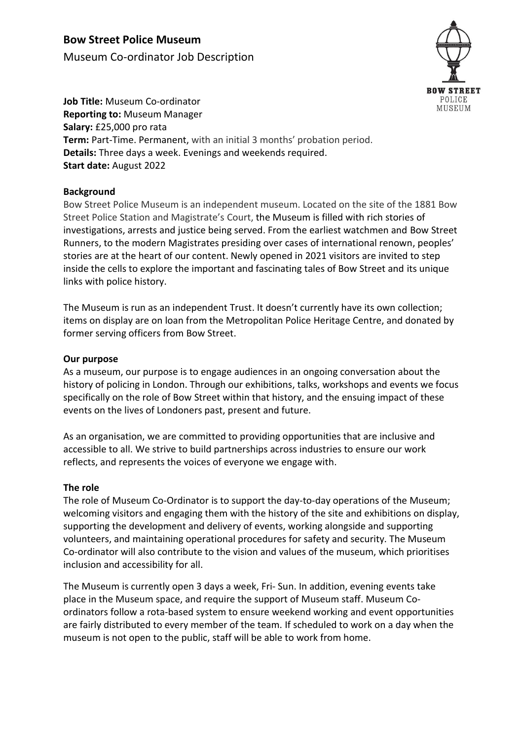# **Bow Street Police Museum**

Museum Co-ordinator Job Description



**Job Title:** Museum Co-ordinator **Reporting to:** Museum Manager **Salary:** £25,000 pro rata **Term:** Part-Time. Permanent, with an initial 3 months' probation period. **Details:** Three days a week. Evenings and weekends required. **Start date:** August 2022

### **Background**

Bow Street Police Museum is an independent museum. Located on the site of the 1881 Bow Street Police Station and Magistrate's Court, the Museum is filled with rich stories of investigations, arrests and justice being served. From the earliest watchmen and Bow Street Runners, to the modern Magistrates presiding over cases of international renown, peoples' stories are at the heart of our content. Newly opened in 2021 visitors are invited to step inside the cells to explore the important and fascinating tales of Bow Street and its unique links with police history.

The Museum is run as an independent Trust. It doesn't currently have its own collection; items on display are on loan from the Metropolitan Police Heritage Centre, and donated by former serving officers from Bow Street.

### **Our purpose**

As a museum, our purpose is to engage audiences in an ongoing conversation about the history of policing in London. Through our exhibitions, talks, workshops and events we focus specifically on the role of Bow Street within that history, and the ensuing impact of these events on the lives of Londoners past, present and future.

As an organisation, we are committed to providing opportunities that are inclusive and accessible to all. We strive to build partnerships across industries to ensure our work reflects, and represents the voices of everyone we engage with.

### **The role**

The role of Museum Co-Ordinator is to support the day-to-day operations of the Museum; welcoming visitors and engaging them with the history of the site and exhibitions on display, supporting the development and delivery of events, working alongside and supporting volunteers, and maintaining operational procedures for safety and security. The Museum Co-ordinator will also contribute to the vision and values of the museum, which prioritises inclusion and accessibility for all.

The Museum is currently open 3 days a week, Fri- Sun. In addition, evening events take place in the Museum space, and require the support of Museum staff. Museum Coordinators follow a rota-based system to ensure weekend working and event opportunities are fairly distributed to every member of the team. If scheduled to work on a day when the museum is not open to the public, staff will be able to work from home.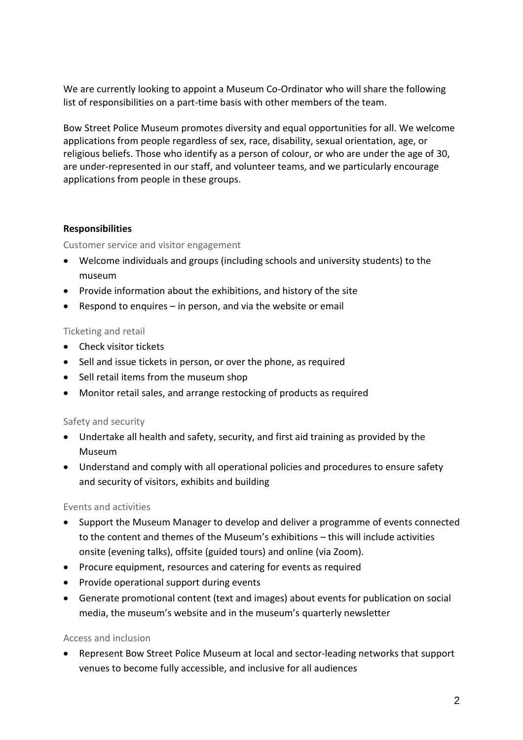We are currently looking to appoint a Museum Co-Ordinator who will share the following list of responsibilities on a part-time basis with other members of the team.

Bow Street Police Museum promotes diversity and equal opportunities for all. We welcome applications from people regardless of sex, race, disability, sexual orientation, age, or religious beliefs. Those who identify as a person of colour, or who are under the age of 30, are under-represented in our staff, and volunteer teams, and we particularly encourage applications from people in these groups.

### **Responsibilities**

Customer service and visitor engagement

- Welcome individuals and groups (including schools and university students) to the museum
- Provide information about the exhibitions, and history of the site
- Respond to enquires in person, and via the website or email

### Ticketing and retail

- Check visitor tickets
- Sell and issue tickets in person, or over the phone, as required
- Sell retail items from the museum shop
- Monitor retail sales, and arrange restocking of products as required

### Safety and security

- Undertake all health and safety, security, and first aid training as provided by the Museum
- Understand and comply with all operational policies and procedures to ensure safety and security of visitors, exhibits and building

### Events and activities

- Support the Museum Manager to develop and deliver a programme of events connected to the content and themes of the Museum's exhibitions – this will include activities onsite (evening talks), offsite (guided tours) and online (via Zoom).
- Procure equipment, resources and catering for events as required
- Provide operational support during events
- Generate promotional content (text and images) about events for publication on social media, the museum's website and in the museum's quarterly newsletter

### Access and inclusion

• Represent Bow Street Police Museum at local and sector-leading networks that support venues to become fully accessible, and inclusive for all audiences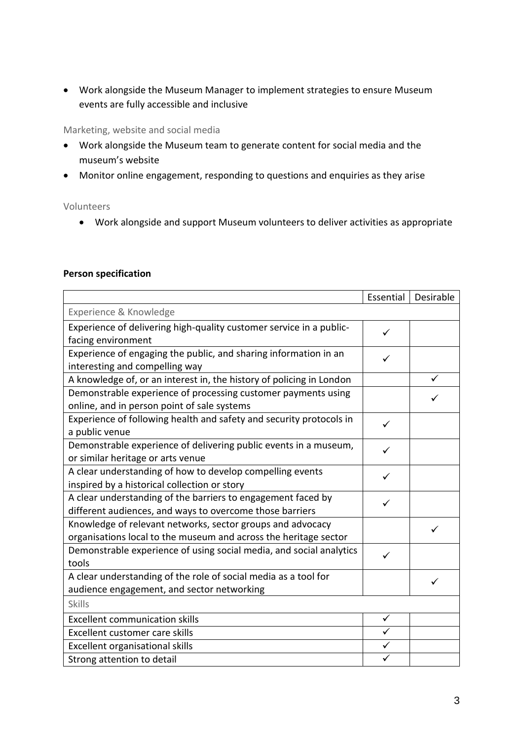• Work alongside the Museum Manager to implement strategies to ensure Museum events are fully accessible and inclusive

### Marketing, website and social media

- Work alongside the Museum team to generate content for social media and the museum's website
- Monitor online engagement, responding to questions and enquiries as they arise

#### Volunteers

• Work alongside and support Museum volunteers to deliver activities as appropriate

#### **Person specification**

|                                                                                                                                | Essential | Desirable |
|--------------------------------------------------------------------------------------------------------------------------------|-----------|-----------|
| Experience & Knowledge                                                                                                         |           |           |
| Experience of delivering high-quality customer service in a public-                                                            | ✓         |           |
| facing environment                                                                                                             |           |           |
| Experience of engaging the public, and sharing information in an<br>interesting and compelling way                             |           |           |
| A knowledge of, or an interest in, the history of policing in London                                                           |           |           |
| Demonstrable experience of processing customer payments using<br>online, and in person point of sale systems                   |           |           |
| Experience of following health and safety and security protocols in<br>a public venue                                          | ✓         |           |
| Demonstrable experience of delivering public events in a museum,<br>or similar heritage or arts venue                          |           |           |
| A clear understanding of how to develop compelling events<br>inspired by a historical collection or story                      |           |           |
| A clear understanding of the barriers to engagement faced by<br>different audiences, and ways to overcome those barriers       | ✓         |           |
| Knowledge of relevant networks, sector groups and advocacy<br>organisations local to the museum and across the heritage sector |           |           |
| Demonstrable experience of using social media, and social analytics<br>tools                                                   | ✓         |           |
| A clear understanding of the role of social media as a tool for<br>audience engagement, and sector networking                  |           |           |
| <b>Skills</b>                                                                                                                  |           |           |
| <b>Excellent communication skills</b>                                                                                          | ✓         |           |
| Excellent customer care skills                                                                                                 |           |           |
| Excellent organisational skills                                                                                                |           |           |
| Strong attention to detail                                                                                                     |           |           |